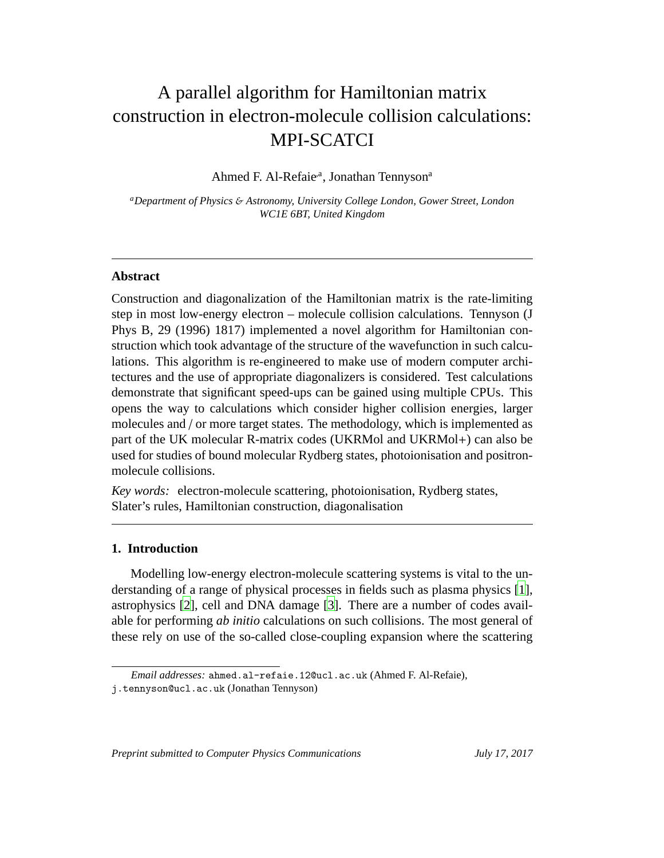# A parallel algorithm for Hamiltonian matrix construction in electron-molecule collision calculations: MPI-SCATCI

Ahmed F. Al-Refaie<sup>, a</sup>, Jonathan Tennyson<sup>a</sup>

*<sup>a</sup>Department of Physics* & *Astronomy, University College London, Gower Street, London WC1E 6BT, United Kingdom*

## **Abstract**

Construction and diagonalization of the Hamiltonian matrix is the rate-limiting step in most low-energy electron – molecule collision calculations. Tennyson (J Phys B, 29 (1996) 1817) implemented a novel algorithm for Hamiltonian construction which took advantage of the structure of the wavefunction in such calculations. This algorithm is re-engineered to make use of modern computer architectures and the use of appropriate diagonalizers is considered. Test calculations demonstrate that significant speed-ups can be gained using multiple CPUs. This opens the way to calculations which consider higher collision energies, larger molecules and / or more target states. The methodology, which is implemented as part of the UK molecular R-matrix codes (UKRMol and UKRMol+) can also be used for studies of bound molecular Rydberg states, photoionisation and positronmolecule collisions.

*Key words:* electron-molecule scattering, photoionisation, Rydberg states, Slater's rules, Hamiltonian construction, diagonalisation

## **1. Introduction**

Modelling low-energy electron-molecule scattering systems is vital to the understanding of a range of physical processes in fields such as plasma physics [\[1](#page-23-0)], astrophysics [\[2\]](#page-24-0), cell and DNA damage [\[3](#page-24-1)]. There are a number of codes available for performing *ab initio* calculations on such collisions. The most general of these rely on use of the so-called close-coupling expansion where the scattering

*Preprint submitted to Computer Physics Communications July 17, 2017*

*Email addresses:* ahmed.al-refaie.12@ucl.ac.uk (Ahmed F. Al-Refaie),

j.tennyson@ucl.ac.uk (Jonathan Tennyson)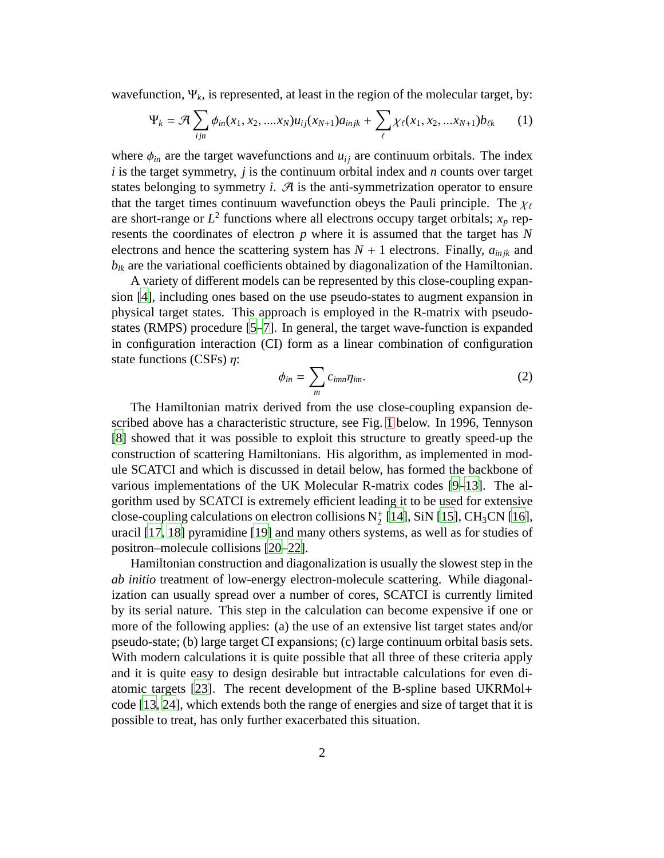wavefunction,  $\Psi_k$ , is represented, at least in the region of the molecular target, by:

$$
\Psi_k = \mathcal{A} \sum_{j,n} \phi_{in}(x_1, x_2, ....x_N) u_{ij}(x_{N+1}) a_{injk} + \sum_{\ell} \chi_{\ell}(x_1, x_2, ....x_{N+1}) b_{\ell k} \qquad (1)
$$

where  $\phi_{in}$  are the target wavefunctions and  $u_{ij}$  are continuum orbitals. The index *i* is the target symmetry, *j* is the continuum orbital index and *n* counts over target states belonging to symmetry  $i$ .  $\mathcal{A}$  is the anti-symmetrization operator to ensure that the target times continuum wavefunction obeys the Pauli principle. The  $\chi_{\ell}$ are short-range or  $L^2$  functions where all electrons occupy target orbitals;  $x_p$  represents the coordinates of electron *p* where it is assumed that the target has *N* electrons and hence the scattering system has  $N + 1$  electrons. Finally,  $a_{inik}$  and  $b_{lk}$  are the variational coefficients obtained by diagonalization of the Hamiltonian.

A variety of different models can be represented by this close-coupling expansion [\[4](#page-24-2)], including ones based on the use pseudo-states to augment expansion in physical target states. This approach is employed in the R-matrix with pseudostates (RMPS) procedure [\[5](#page-24-3)[–7\]](#page-24-4). In general, the target wave-function is expanded in configuration interaction (CI) form as a linear combination of configuration state functions (CSFs)  $\eta$ :

$$
\phi_{in} = \sum_{m} c_{imn} \eta_{im}.
$$

The Hamiltonian matrix derived from the use close-coupling expansion described above has a characteristic structure, see Fig. [1](#page-5-0) below. In 1996, Tennyson [\[8\]](#page-24-5) showed that it was possible to exploit this structure to greatly speed-up the construction of scattering Hamiltonians. His algorithm, as implemented in module SCATCI and which is discussed in detail below, has formed the backbone of various implementations of the UK Molecular R-matrix codes [\[9](#page-24-6)[–13](#page-24-7)]. The algorithm used by SCATCI is extremely efficient leading it to be used for extensive close-coupling calculations on electron collisions  $N_2^+$  [\[14](#page-25-0)], SiN [\[15\]](#page-25-1), CH<sub>3</sub>CN [\[16](#page-25-2)], uracil [\[17,](#page-25-3) [18\]](#page-25-4) pyramidine [\[19\]](#page-25-5) and many others systems, as well as for studies of positron–molecule collisions [\[20](#page-25-6)[–22\]](#page-25-7).

Hamiltonian construction and diagonalization is usually the slowest step in the *ab initio* treatment of low-energy electron-molecule scattering. While diagonalization can usually spread over a number of cores, SCATCI is currently limited by its serial nature. This step in the calculation can become expensive if one or more of the following applies: (a) the use of an extensive list target states and/or pseudo-state; (b) large target CI expansions; (c) large continuum orbital basis sets. With modern calculations it is quite possible that all three of these criteria apply and it is quite easy to design desirable but intractable calculations for even diatomic targets [\[23\]](#page-25-8). The recent development of the B-spline based UKRMol+ code [\[13](#page-24-7), [24](#page-25-9)], which extends both the range of energies and size of target that it is possible to treat, has only further exacerbated this situation.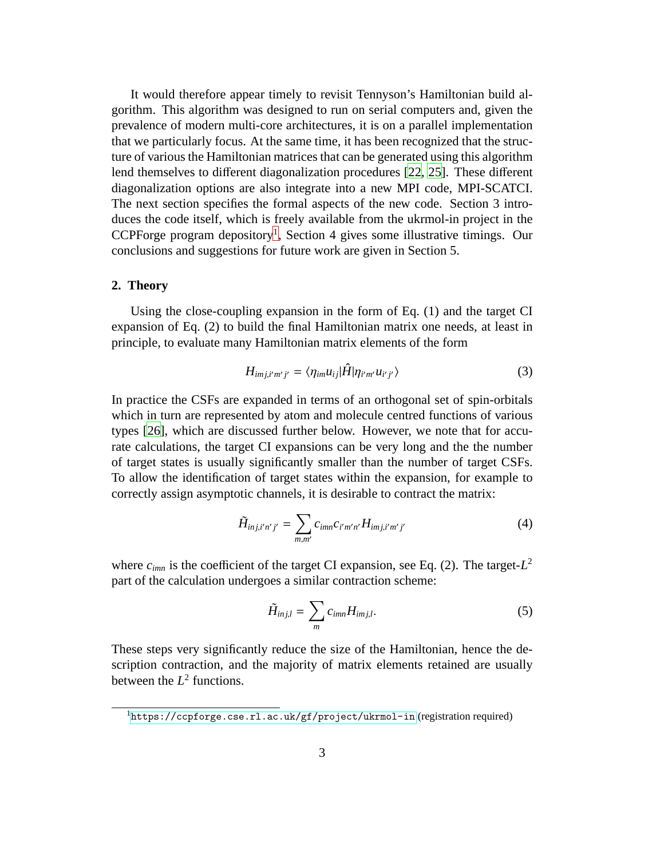It would therefore appear timely to revisit Tennyson's Hamiltonian build algorithm. This algorithm was designed to run on serial computers and, given the prevalence of modern multi-core architectures, it is on a parallel implementation that we particularly focus. At the same time, it has been recognized that the structure of various the Hamiltonian matrices that can be generated using this algorithm lend themselves to different diagonalization procedures [\[22,](#page-25-7) [25](#page-25-10)]. These different diagonalization options are also integrate into a new MPI code, MPI-SCATCI. The next section specifies the formal aspects of the new code. Section 3 introduces the code itself, which is freely available from the ukrmol-in project in the CCPForge program depository<sup>[1](#page-2-0)</sup>, Section 4 gives some illustrative timings. Our conclusions and suggestions for future work are given in Section 5.

## **2. Theory**

Using the close-coupling expansion in the form of Eq. (1) and the target CI expansion of Eq. (2) to build the final Hamiltonian matrix one needs, at least in principle, to evaluate many Hamiltonian matrix elements of the form

$$
H_{imj,i'm'j'} = \langle \eta_{im} u_{ij} | \hat{H} | \eta_{i'm'} u_{i'j'} \rangle \tag{3}
$$

<span id="page-2-2"></span>In practice the CSFs are expanded in terms of an orthogonal set of spin-orbitals which in turn are represented by atom and molecule centred functions of various types [\[26\]](#page-26-0), which are discussed further below. However, we note that for accurate calculations, the target CI expansions can be very long and the the number of target states is usually significantly smaller than the number of target CSFs. To allow the identification of target states within the expansion, for example to correctly assign asymptotic channels, it is desirable to contract the matrix:

$$
\tilde{H}_{inj,i'n'j'} = \sum_{m,m'} c_{imn} c_{i'm'n'} H_{imj,i'm'j'}
$$
\n(4)

<span id="page-2-1"></span>where  $c_{imn}$  is the coefficient of the target CI expansion, see Eq. (2). The target- $L^2$ part of the calculation undergoes a similar contraction scheme:

<span id="page-2-3"></span>
$$
\tilde{H}_{inj,l} = \sum_{m} c_{imn} H_{imj,l}.
$$
\n(5)

These steps very significantly reduce the size of the Hamiltonian, hence the description contraction, and the majority of matrix elements retained are usually between the  $L^2$  functions.

<span id="page-2-0"></span><sup>&</sup>lt;sup>1</sup><https://ccpforge.cse.rl.ac.uk/gf/project/ukrmol-in> (registration required)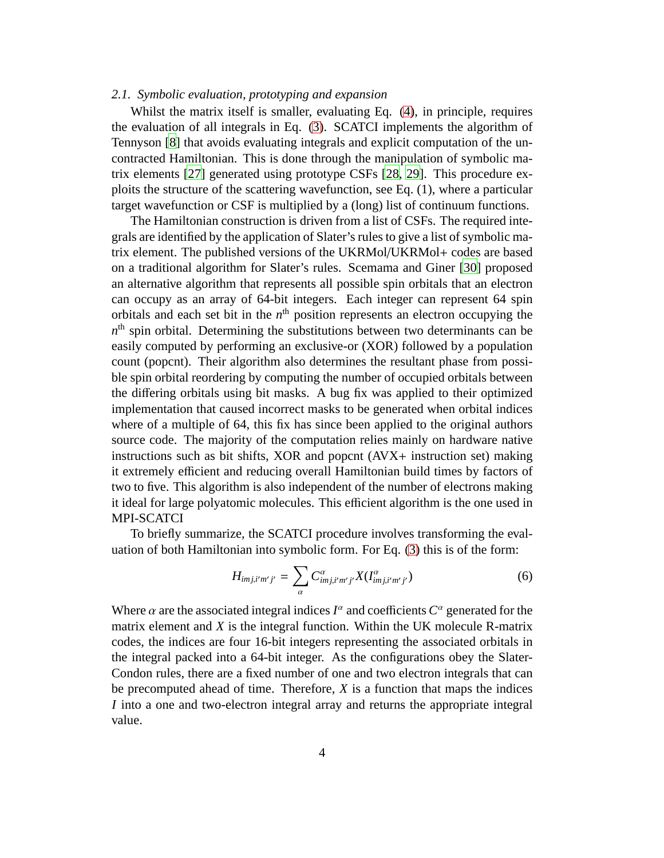#### *2.1. Symbolic evaluation, prototyping and expansion*

Whilst the matrix itself is smaller, evaluating Eq. [\(4\)](#page-2-1), in principle, requires the evaluation of all integrals in Eq. [\(3\)](#page-2-2). SCATCI implements the algorithm of Tennyson [\[8](#page-24-5)] that avoids evaluating integrals and explicit computation of the uncontracted Hamiltonian. This is done through the manipulation of symbolic matrix elements [\[27](#page-26-1)] generated using prototype CSFs [\[28](#page-26-2), [29\]](#page-26-3). This procedure exploits the structure of the scattering wavefunction, see Eq. (1), where a particular target wavefunction or CSF is multiplied by a (long) list of continuum functions.

The Hamiltonian construction is driven from a list of CSFs. The required integrals are identified by the application of Slater's rules to give a list of symbolic matrix element. The published versions of the UKRMol/UKRMol+ codes are based on a traditional algorithm for Slater's rules. Scemama and Giner [\[30\]](#page-26-4) proposed an alternative algorithm that represents all possible spin orbitals that an electron can occupy as an array of 64-bit integers. Each integer can represent 64 spin orbitals and each set bit in the  $n<sup>th</sup>$  position represents an electron occupying the  $n<sup>th</sup>$  spin orbital. Determining the substitutions between two determinants can be easily computed by performing an exclusive-or (XOR) followed by a population count (popcnt). Their algorithm also determines the resultant phase from possible spin orbital reordering by computing the number of occupied orbitals between the differing orbitals using bit masks. A bug fix was applied to their optimized implementation that caused incorrect masks to be generated when orbital indices where of a multiple of 64, this fix has since been applied to the original authors source code. The majority of the computation relies mainly on hardware native instructions such as bit shifts, XOR and popcnt (AVX+ instruction set) making it extremely efficient and reducing overall Hamiltonian build times by factors of two to five. This algorithm is also independent of the number of electrons making it ideal for large polyatomic molecules. This efficient algorithm is the one used in MPI-SCATCI

To briefly summarize, the SCATCI procedure involves transforming the evaluation of both Hamiltonian into symbolic form. For Eq. [\(3\)](#page-2-2) this is of the form:

$$
H_{imj,i'm'j'} = \sum_{\alpha} C^{\alpha}_{imj,i'm'j'} X(I^{\alpha}_{imj,i'm'j'}) \tag{6}
$$

Where  $\alpha$  are the associated integral indices  $I^{\alpha}$  and coefficients  $C^{\alpha}$  generated for the matrix element and *X* is the integral function. Within the UK molecule R-matrix codes, the indices are four 16-bit integers representing the associated orbitals in the integral packed into a 64-bit integer. As the configurations obey the Slater-Condon rules, there are a fixed number of one and two electron integrals that can be precomputed ahead of time. Therefore, *X* is a function that maps the indices *I* into a one and two-electron integral array and returns the appropriate integral value.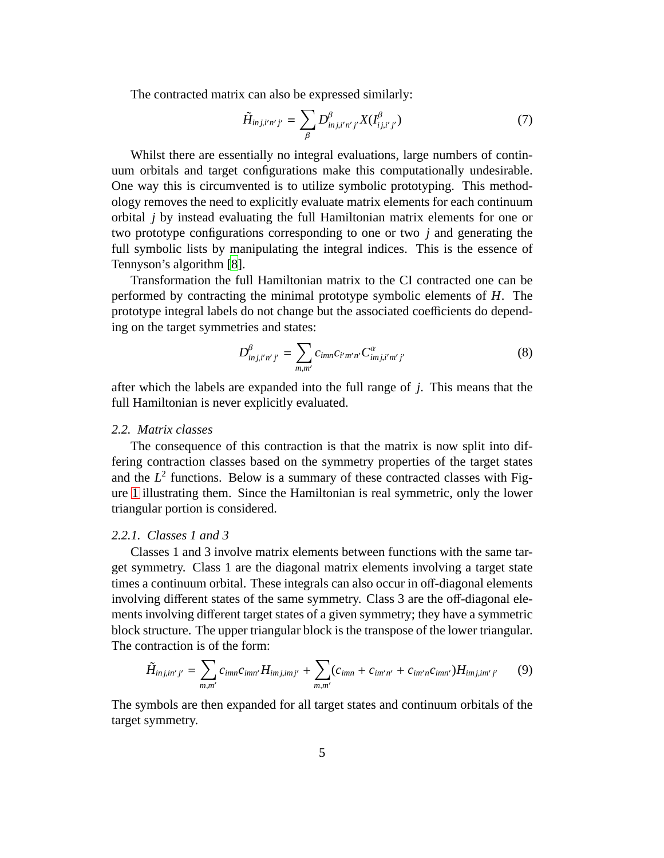The contracted matrix can also be expressed similarly:

$$
\tilde{H}_{inj,i'n'j'} = \sum_{\beta} D_{inj,i'n'j'}^{\beta} X(I_{ij,i'j'}^{\beta})
$$
\n(7)

Whilst there are essentially no integral evaluations, large numbers of continuum orbitals and target configurations make this computationally undesirable. One way this is circumvented is to utilize symbolic prototyping. This methodology removes the need to explicitly evaluate matrix elements for each continuum orbital *j* by instead evaluating the full Hamiltonian matrix elements for one or two prototype configurations corresponding to one or two *j* and generating the full symbolic lists by manipulating the integral indices. This is the essence of Tennyson's algorithm [\[8](#page-24-5)].

Transformation the full Hamiltonian matrix to the CI contracted one can be performed by contracting the minimal prototype symbolic elements of *H*. The prototype integral labels do not change but the associated coefficients do depending on the target symmetries and states:

$$
D_{inj,i'n'j'}^{\beta} = \sum_{m,m'} c_{imn} c_{i'm'n'} C_{imj,i'm'j'}^{\alpha}
$$
 (8)

after which the labels are expanded into the full range of *j*. This means that the full Hamiltonian is never explicitly evaluated.

## *2.2. Matrix classes*

The consequence of this contraction is that the matrix is now split into differing contraction classes based on the symmetry properties of the target states and the  $L^2$  functions. Below is a summary of these contracted classes with Figure [1](#page-5-0) illustrating them. Since the Hamiltonian is real symmetric, only the lower triangular portion is considered.

## *2.2.1. Classes 1 and 3*

Classes 1 and 3 involve matrix elements between functions with the same target symmetry. Class 1 are the diagonal matrix elements involving a target state times a continuum orbital. These integrals can also occur in off-diagonal elements involving different states of the same symmetry. Class 3 are the off-diagonal elements involving different target states of a given symmetry; they have a symmetric block structure. The upper triangular block is the transpose of the lower triangular. The contraction is of the form:

$$
\tilde{H}_{inj,in'j'} = \sum_{m,m'} c_{imn} c_{imn'} H_{imj,imj'} + \sum_{m,m'} (c_{imn} + c_{im'n'} + c_{im'n} c_{imn'}) H_{imj,im'j'} \tag{9}
$$

The symbols are then expanded for all target states and continuum orbitals of the target symmetry.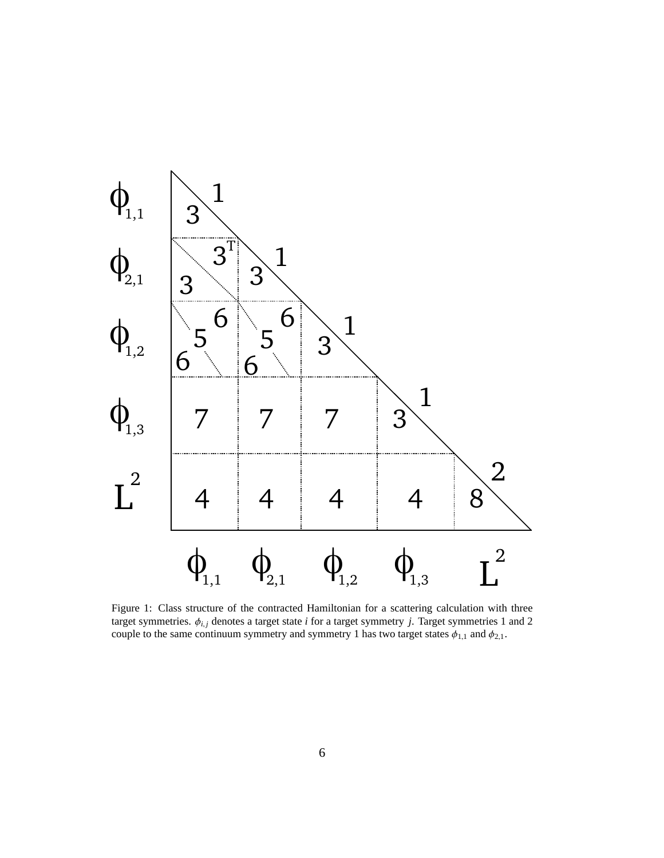

<span id="page-5-0"></span>Figure 1: Class structure of the contracted Hamiltonian for a scattering calculation with three target symmetries. φ*<sup>i</sup>*, *<sup>j</sup>* denotes a target state *i* for a target symmetry *j*. Target symmetries 1 and 2 couple to the same continuum symmetry and symmetry 1 has two target states  $\phi_{1,1}$  and  $\phi_{2,1}$ .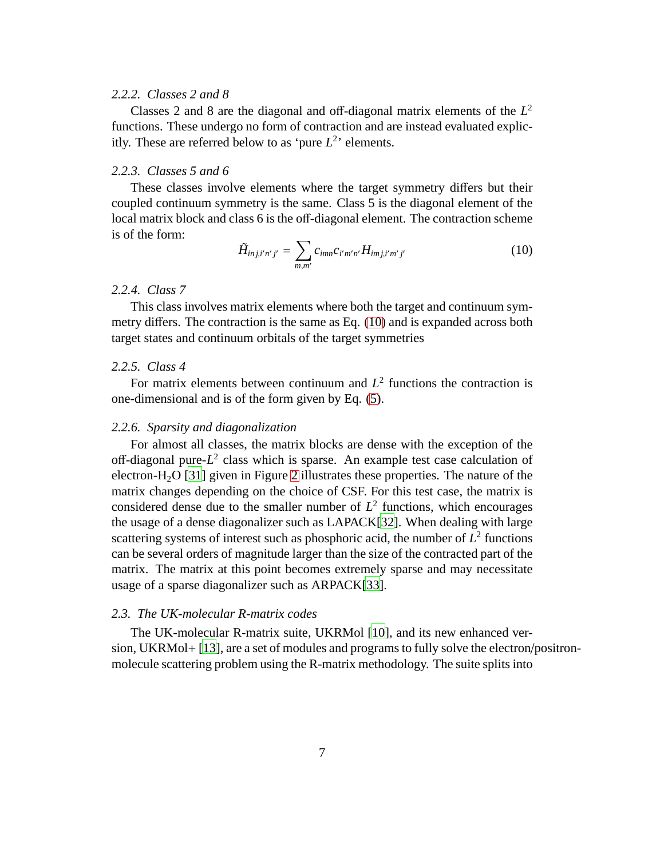#### *2.2.2. Classes 2 and 8*

Classes 2 and 8 are the diagonal and off-diagonal matrix elements of the *L* 2 functions. These undergo no form of contraction and are instead evaluated explicitly. These are referred below to as 'pure  $L^2$ ' elements.

## *2.2.3. Classes 5 and 6*

These classes involve elements where the target symmetry differs but their coupled continuum symmetry is the same. Class 5 is the diagonal element of the local matrix block and class 6 is the off-diagonal element. The contraction scheme is of the form:

$$
\tilde{H}_{inj,i'n'j'} = \sum_{m,m'} c_{imn} c_{i'm'n'} H_{imj,i'm'j'}
$$
\n(10)

## <span id="page-6-0"></span>*2.2.4. Class 7*

This class involves matrix elements where both the target and continuum symmetry differs. The contraction is the same as Eq. [\(10\)](#page-6-0) and is expanded across both target states and continuum orbitals of the target symmetries

## *2.2.5. Class 4*

For matrix elements between continuum and  $L^2$  functions the contraction is one-dimensional and is of the form given by Eq. [\(5\)](#page-2-3).

#### *2.2.6. Sparsity and diagonalization*

For almost all classes, the matrix blocks are dense with the exception of the off-diagonal pure-*L* 2 class which is sparse. An example test case calculation of electron-H<sub>2</sub>O [\[31](#page-26-5)] given in Figure [2](#page-7-0) illustrates these properties. The nature of the matrix changes depending on the choice of CSF. For this test case, the matrix is considered dense due to the smaller number of  $L^2$  functions, which encourages the usage of a dense diagonalizer such as LAPACK[\[32](#page-26-6)]. When dealing with large scattering systems of interest such as phosphoric acid, the number of  $L^2$  functions can be several orders of magnitude larger than the size of the contracted part of the matrix. The matrix at this point becomes extremely sparse and may necessitate usage of a sparse diagonalizer such as ARPACK[\[33\]](#page-26-7).

## *2.3. The UK-molecular R-matrix codes*

The UK-molecular R-matrix suite, UKRMol [\[10](#page-24-8)], and its new enhanced version, UKRMol+ [\[13](#page-24-7)], are a set of modules and programs to fully solve the electron/positronmolecule scattering problem using the R-matrix methodology. The suite splits into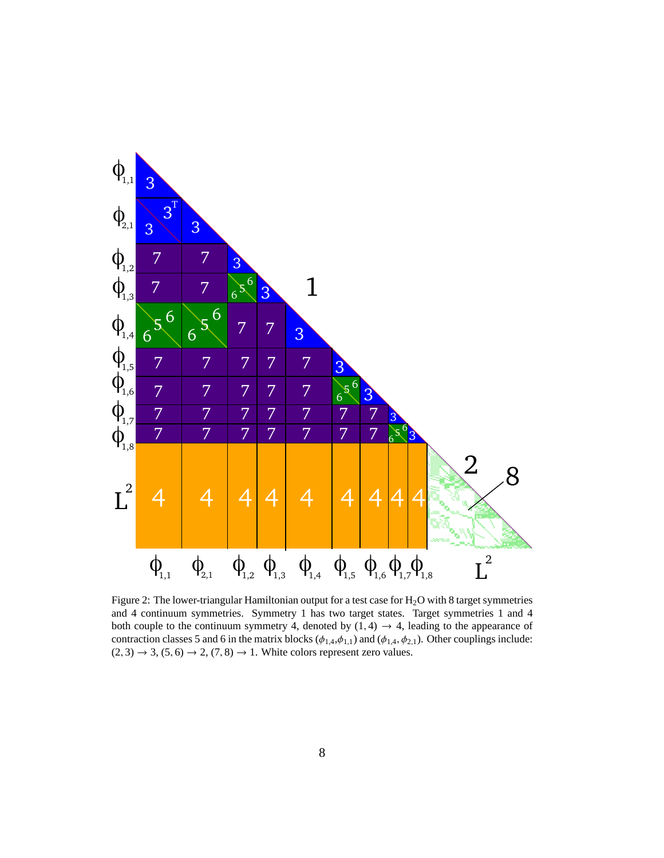

<span id="page-7-0"></span>Figure 2: The lower-triangular Hamiltonian output for a test case for  $H_2O$  with 8 target symmetries and 4 continuum symmetries. Symmetry 1 has two target states. Target symmetries 1 and 4 both couple to the continuum symmetry 4, denoted by  $(1,4) \rightarrow 4$ , leading to the appearance of contraction classes 5 and 6 in the matrix blocks ( $\phi_{1,4}, \phi_{1,1}$ ) and ( $\phi_{1,4}, \phi_{2,1}$ ). Other couplings include:  $(2, 3) \rightarrow 3$ ,  $(5, 6) \rightarrow 2$ ,  $(7, 8) \rightarrow 1$ . White colors represent zero values.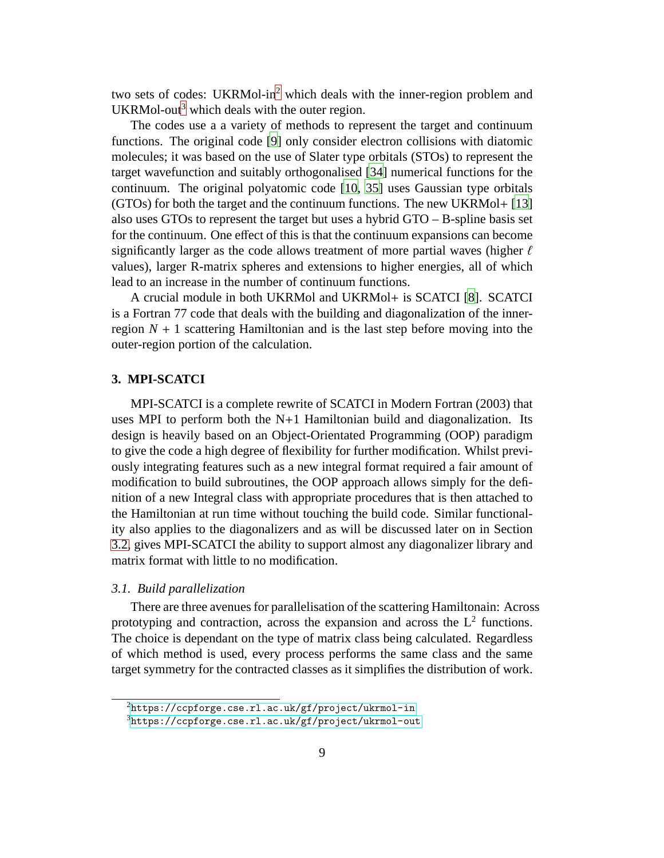two sets of codes: UKRMol-in<sup>[2](#page-8-0)</sup> which deals with the inner-region problem and UKRMol-out<sup>[3](#page-8-1)</sup> which deals with the outer region.

The codes use a a variety of methods to represent the target and continuum functions. The original code [\[9\]](#page-24-6) only consider electron collisions with diatomic molecules; it was based on the use of Slater type orbitals (STOs) to represent the target wavefunction and suitably orthogonalised [\[34](#page-26-8)] numerical functions for the continuum. The original polyatomic code [\[10,](#page-24-8) [35](#page-26-9)] uses Gaussian type orbitals (GTOs) for both the target and the continuum functions. The new UKRMol+ [\[13](#page-24-7)] also uses GTOs to represent the target but uses a hybrid GTO – B-spline basis set for the continuum. One effect of this is that the continuum expansions can become significantly larger as the code allows treatment of more partial waves (higher  $\ell$ values), larger R-matrix spheres and extensions to higher energies, all of which lead to an increase in the number of continuum functions.

A crucial module in both UKRMol and UKRMol+ is SCATCI [\[8\]](#page-24-5). SCATCI is a Fortran 77 code that deals with the building and diagonalization of the innerregion  $N + 1$  scattering Hamiltonian and is the last step before moving into the outer-region portion of the calculation.

## **3. MPI-SCATCI**

MPI-SCATCI is a complete rewrite of SCATCI in Modern Fortran (2003) that uses MPI to perform both the  $N+1$  Hamiltonian build and diagonalization. Its design is heavily based on an Object-Orientated Programming (OOP) paradigm to give the code a high degree of flexibility for further modification. Whilst previously integrating features such as a new integral format required a fair amount of modification to build subroutines, the OOP approach allows simply for the definition of a new Integral class with appropriate procedures that is then attached to the Hamiltonian at run time without touching the build code. Similar functionality also applies to the diagonalizers and as will be discussed later on in Section [3.2,](#page-11-0) gives MPI-SCATCI the ability to support almost any diagonalizer library and matrix format with little to no modification.

#### *3.1. Build parallelization*

There are three avenues for parallelisation of the scattering Hamiltonain: Across prototyping and contraction, across the expansion and across the  $L^2$  functions. The choice is dependant on the type of matrix class being calculated. Regardless of which method is used, every process performs the same class and the same target symmetry for the contracted classes as it simplifies the distribution of work.

<sup>2</sup><https://ccpforge.cse.rl.ac.uk/gf/project/ukrmol-in>

<span id="page-8-1"></span><span id="page-8-0"></span><sup>3</sup><https://ccpforge.cse.rl.ac.uk/gf/project/ukrmol-out>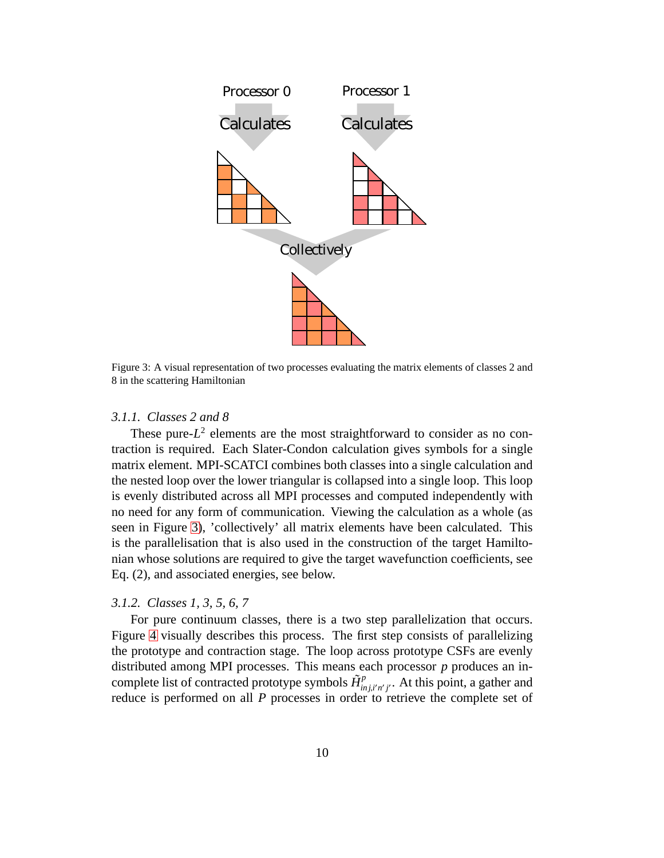

<span id="page-9-0"></span>Figure 3: A visual representation of two processes evaluating the matrix elements of classes 2 and 8 in the scattering Hamiltonian

# *3.1.1. Classes 2 and 8*

These pure- $L<sup>2</sup>$  elements are the most straightforward to consider as no contraction is required. Each Slater-Condon calculation gives symbols for a single matrix element. MPI-SCATCI combines both classes into a single calculation and the nested loop over the lower triangular is collapsed into a single loop. This loop is evenly distributed across all MPI processes and computed independently with no need for any form of communication. Viewing the calculation as a whole (as seen in Figure [3\)](#page-9-0), 'collectively' all matrix elements have been calculated. This is the parallelisation that is also used in the construction of the target Hamiltonian whose solutions are required to give the target wavefunction coefficients, see Eq. (2), and associated energies, see below.

## *3.1.2. Classes 1, 3, 5, 6, 7*

For pure continuum classes, there is a two step parallelization that occurs. Figure [4](#page-11-1) visually describes this process. The first step consists of parallelizing the prototype and contraction stage. The loop across prototype CSFs are evenly distributed among MPI processes. This means each processor *p* produces an incomplete list of contracted prototype symbols  $\tilde{H}_{in}^p$  $\int_{inj,i'n'j'}^{p}$ . At this point, a gather and reduce is performed on all *P* processes in order to retrieve the complete set of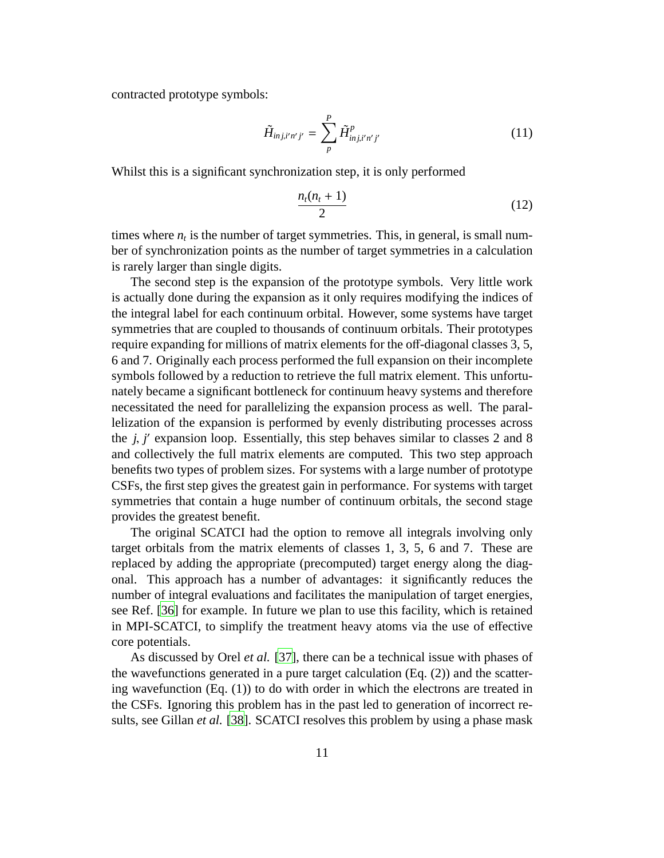contracted prototype symbols:

$$
\tilde{H}_{inj,i'n'j'} = \sum_{p}^{P} \tilde{H}_{inj,i'n'j'}^{p} \tag{11}
$$

Whilst this is a significant synchronization step, it is only performed

$$
\frac{n_t(n_t+1)}{2} \tag{12}
$$

times where  $n_t$  is the number of target symmetries. This, in general, is small number of synchronization points as the number of target symmetries in a calculation is rarely larger than single digits.

The second step is the expansion of the prototype symbols. Very little work is actually done during the expansion as it only requires modifying the indices of the integral label for each continuum orbital. However, some systems have target symmetries that are coupled to thousands of continuum orbitals. Their prototypes require expanding for millions of matrix elements for the off-diagonal classes 3, 5, 6 and 7. Originally each process performed the full expansion on their incomplete symbols followed by a reduction to retrieve the full matrix element. This unfortunately became a significant bottleneck for continuum heavy systems and therefore necessitated the need for parallelizing the expansion process as well. The parallelization of the expansion is performed by evenly distributing processes across the  $j$ ,  $j'$  expansion loop. Essentially, this step behaves similar to classes 2 and 8 and collectively the full matrix elements are computed. This two step approach benefits two types of problem sizes. For systems with a large number of prototype CSFs, the first step gives the greatest gain in performance. For systems with target symmetries that contain a huge number of continuum orbitals, the second stage provides the greatest benefit.

The original SCATCI had the option to remove all integrals involving only target orbitals from the matrix elements of classes 1, 3, 5, 6 and 7. These are replaced by adding the appropriate (precomputed) target energy along the diagonal. This approach has a number of advantages: it significantly reduces the number of integral evaluations and facilitates the manipulation of target energies, see Ref. [\[36\]](#page-26-10) for example. In future we plan to use this facility, which is retained in MPI-SCATCI, to simplify the treatment heavy atoms via the use of effective core potentials.

As discussed by Orel *et al.* [\[37](#page-26-11)], there can be a technical issue with phases of the wavefunctions generated in a pure target calculation (Eq. (2)) and the scattering wavefunction (Eq. (1)) to do with order in which the electrons are treated in the CSFs. Ignoring this problem has in the past led to generation of incorrect results, see Gillan *et al.* [\[38\]](#page-27-0). SCATCI resolves this problem by using a phase mask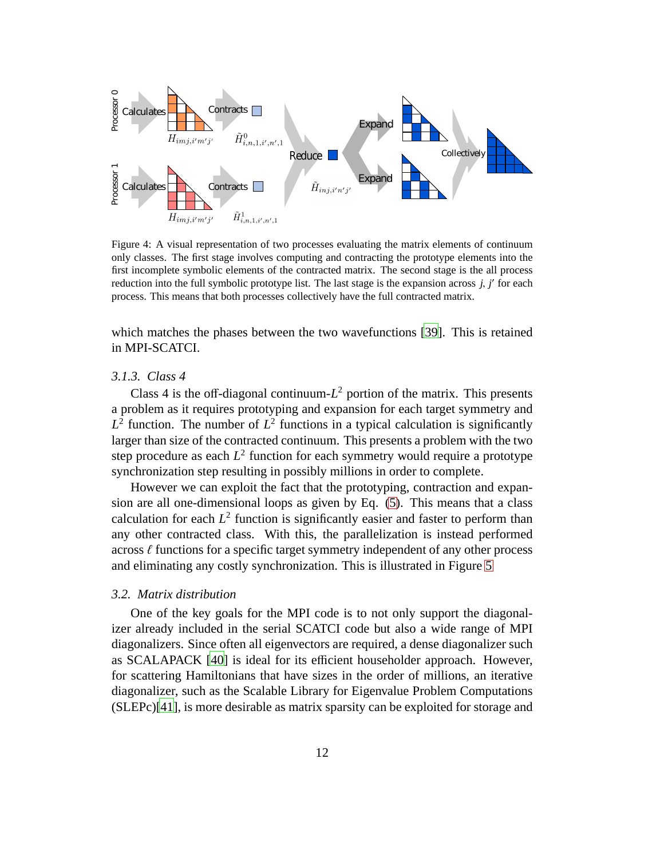

<span id="page-11-1"></span>Figure 4: A visual representation of two processes evaluating the matrix elements of continuum only classes. The first stage involves computing and contracting the prototype elements into the first incomplete symbolic elements of the contracted matrix. The second stage is the all process reduction into the full symbolic prototype list. The last stage is the expansion across *j*, *j'* for each process. This means that both processes collectively have the full contracted matrix.

which matches the phases between the two wavefunctions [\[39\]](#page-27-1). This is retained in MPI-SCATCI.

## *3.1.3. Class 4*

Class 4 is the off-diagonal continuum- $L^2$  portion of the matrix. This presents a problem as it requires prototyping and expansion for each target symmetry and  $L^2$  function. The number of  $L^2$  functions in a typical calculation is significantly larger than size of the contracted continuum. This presents a problem with the two step procedure as each  $L^2$  function for each symmetry would require a prototype synchronization step resulting in possibly millions in order to complete.

However we can exploit the fact that the prototyping, contraction and expansion are all one-dimensional loops as given by Eq. [\(5\)](#page-2-3). This means that a class calculation for each  $L^2$  function is significantly easier and faster to perform than any other contracted class. With this, the parallelization is instead performed across  $\ell$  functions for a specific target symmetry independent of any other process and eliminating any costly synchronization. This is illustrated in Figure [5](#page-12-0)

#### <span id="page-11-0"></span>*3.2. Matrix distribution*

One of the key goals for the MPI code is to not only support the diagonalizer already included in the serial SCATCI code but also a wide range of MPI diagonalizers. Since often all eigenvectors are required, a dense diagonalizer such as SCALAPACK [\[40](#page-27-2)] is ideal for its efficient householder approach. However, for scattering Hamiltonians that have sizes in the order of millions, an iterative diagonalizer, such as the Scalable Library for Eigenvalue Problem Computations (SLEPc)[\[41\]](#page-27-3), is more desirable as matrix sparsity can be exploited for storage and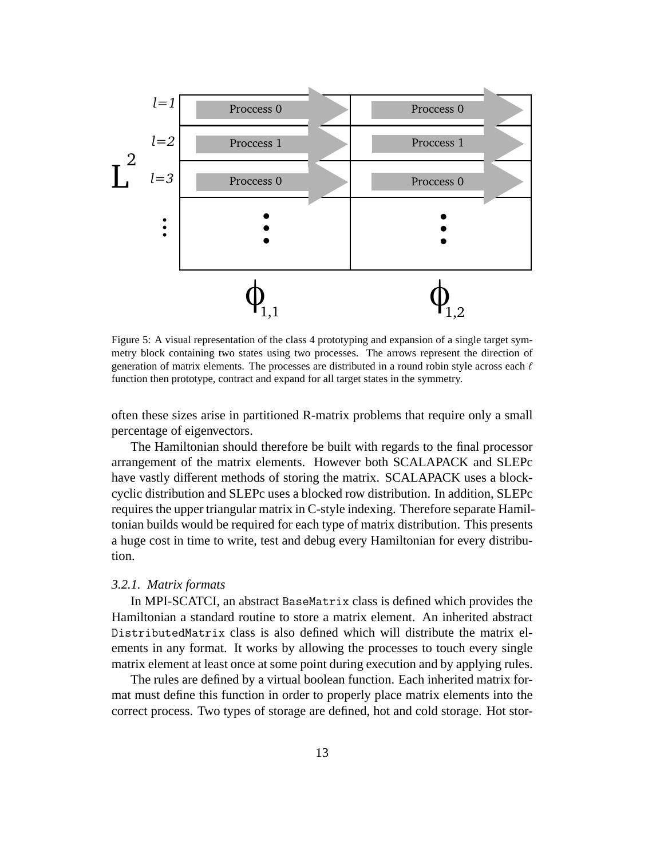

<span id="page-12-0"></span>Figure 5: A visual representation of the class 4 prototyping and expansion of a single target symmetry block containing two states using two processes. The arrows represent the direction of generation of matrix elements. The processes are distributed in a round robin style across each  $\ell$ function then prototype, contract and expand for all target states in the symmetry.

often these sizes arise in partitioned R-matrix problems that require only a small percentage of eigenvectors.

The Hamiltonian should therefore be built with regards to the final processor arrangement of the matrix elements. However both SCALAPACK and SLEPc have vastly different methods of storing the matrix. SCALAPACK uses a blockcyclic distribution and SLEPc uses a blocked row distribution. In addition, SLEPc requires the upper triangular matrix in C-style indexing. Therefore separate Hamiltonian builds would be required for each type of matrix distribution. This presents a huge cost in time to write, test and debug every Hamiltonian for every distribution.

## *3.2.1. Matrix formats*

In MPI-SCATCI, an abstract BaseMatrix class is defined which provides the Hamiltonian a standard routine to store a matrix element. An inherited abstract DistributedMatrix class is also defined which will distribute the matrix elements in any format. It works by allowing the processes to touch every single matrix element at least once at some point during execution and by applying rules.

The rules are defined by a virtual boolean function. Each inherited matrix format must define this function in order to properly place matrix elements into the correct process. Two types of storage are defined, hot and cold storage. Hot stor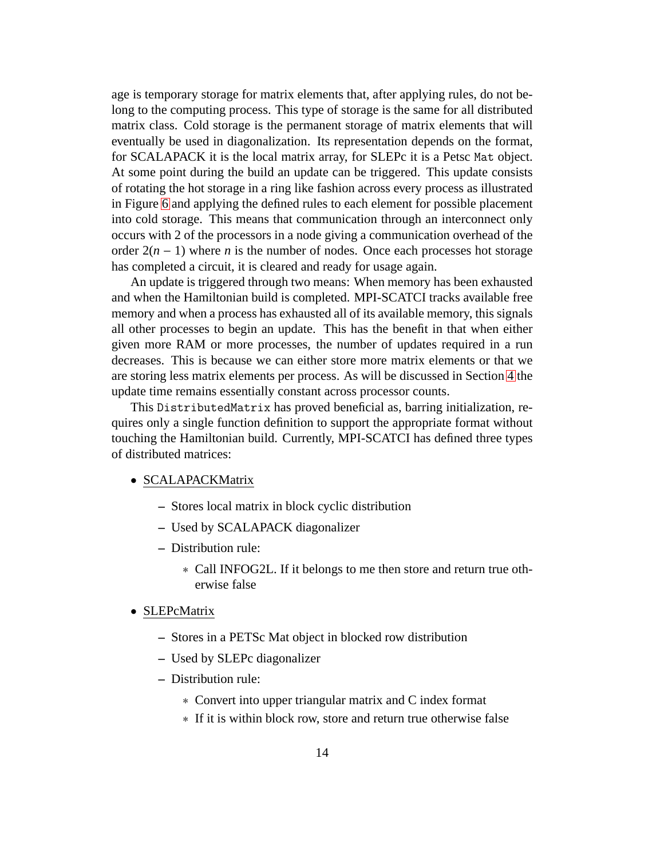age is temporary storage for matrix elements that, after applying rules, do not belong to the computing process. This type of storage is the same for all distributed matrix class. Cold storage is the permanent storage of matrix elements that will eventually be used in diagonalization. Its representation depends on the format, for SCALAPACK it is the local matrix array, for SLEPc it is a Petsc Mat object. At some point during the build an update can be triggered. This update consists of rotating the hot storage in a ring like fashion across every process as illustrated in Figure [6](#page-14-0) and applying the defined rules to each element for possible placement into cold storage. This means that communication through an interconnect only occurs with 2 of the processors in a node giving a communication overhead of the order  $2(n - 1)$  where *n* is the number of nodes. Once each processes hot storage has completed a circuit, it is cleared and ready for usage again.

An update is triggered through two means: When memory has been exhausted and when the Hamiltonian build is completed. MPI-SCATCI tracks available free memory and when a process has exhausted all of its available memory, this signals all other processes to begin an update. This has the benefit in that when either given more RAM or more processes, the number of updates required in a run decreases. This is because we can either store more matrix elements or that we are storing less matrix elements per process. As will be discussed in Section [4](#page-18-0) the update time remains essentially constant across processor counts.

This DistributedMatrix has proved beneficial as, barring initialization, requires only a single function definition to support the appropriate format without touching the Hamiltonian build. Currently, MPI-SCATCI has defined three types of distributed matrices:

- SCALAPACKMatrix
	- **–** Stores local matrix in block cyclic distribution
	- **–** Used by SCALAPACK diagonalizer
	- **–** Distribution rule:
		- ∗ Call INFOG2L. If it belongs to me then store and return true otherwise false
- SLEPcMatrix
	- **–** Stores in a PETSc Mat object in blocked row distribution
	- **–** Used by SLEPc diagonalizer
	- **–** Distribution rule:
		- ∗ Convert into upper triangular matrix and C index format
		- ∗ If it is within block row, store and return true otherwise false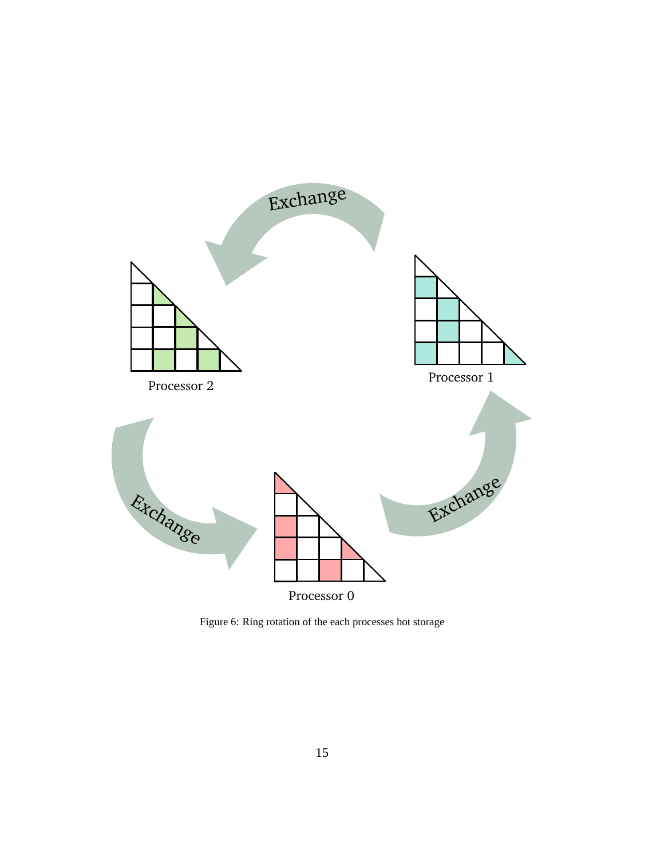

<span id="page-14-0"></span>Figure 6: Ring rotation of the each processes hot storage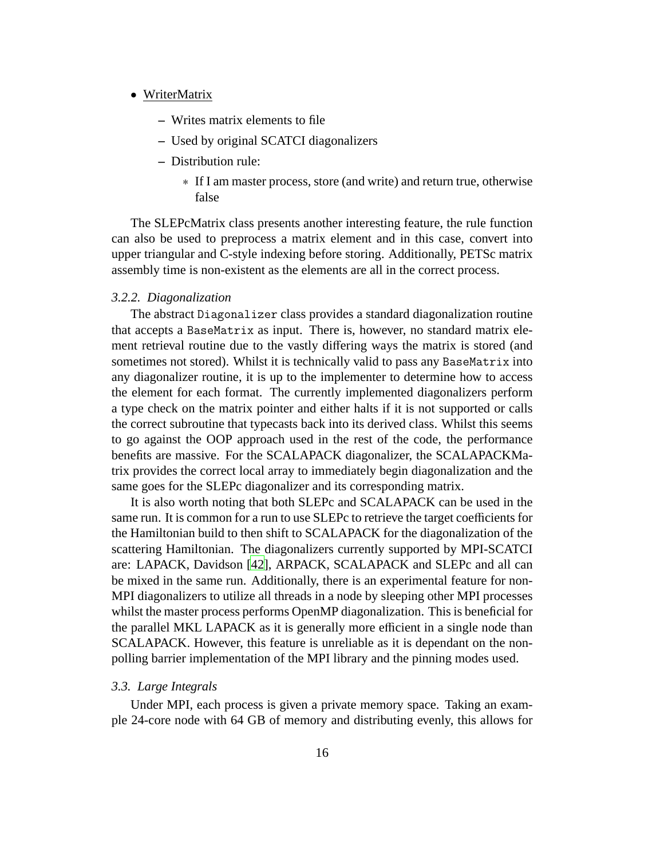## • WriterMatrix

- **–** Writes matrix elements to file
- **–** Used by original SCATCI diagonalizers
- **–** Distribution rule:
	- ∗ If I am master process, store (and write) and return true, otherwise false

The SLEPcMatrix class presents another interesting feature, the rule function can also be used to preprocess a matrix element and in this case, convert into upper triangular and C-style indexing before storing. Additionally, PETSc matrix assembly time is non-existent as the elements are all in the correct process.

### *3.2.2. Diagonalization*

The abstract Diagonalizer class provides a standard diagonalization routine that accepts a BaseMatrix as input. There is, however, no standard matrix element retrieval routine due to the vastly differing ways the matrix is stored (and sometimes not stored). Whilst it is technically valid to pass any BaseMatrix into any diagonalizer routine, it is up to the implementer to determine how to access the element for each format. The currently implemented diagonalizers perform a type check on the matrix pointer and either halts if it is not supported or calls the correct subroutine that typecasts back into its derived class. Whilst this seems to go against the OOP approach used in the rest of the code, the performance benefits are massive. For the SCALAPACK diagonalizer, the SCALAPACKMatrix provides the correct local array to immediately begin diagonalization and the same goes for the SLEPc diagonalizer and its corresponding matrix.

It is also worth noting that both SLEPc and SCALAPACK can be used in the same run. It is common for a run to use SLEPc to retrieve the target coefficients for the Hamiltonian build to then shift to SCALAPACK for the diagonalization of the scattering Hamiltonian. The diagonalizers currently supported by MPI-SCATCI are: LAPACK, Davidson [\[42\]](#page-27-4), ARPACK, SCALAPACK and SLEPc and all can be mixed in the same run. Additionally, there is an experimental feature for non-MPI diagonalizers to utilize all threads in a node by sleeping other MPI processes whilst the master process performs OpenMP diagonalization. This is beneficial for the parallel MKL LAPACK as it is generally more efficient in a single node than SCALAPACK. However, this feature is unreliable as it is dependant on the nonpolling barrier implementation of the MPI library and the pinning modes used.

#### *3.3. Large Integrals*

Under MPI, each process is given a private memory space. Taking an example 24-core node with 64 GB of memory and distributing evenly, this allows for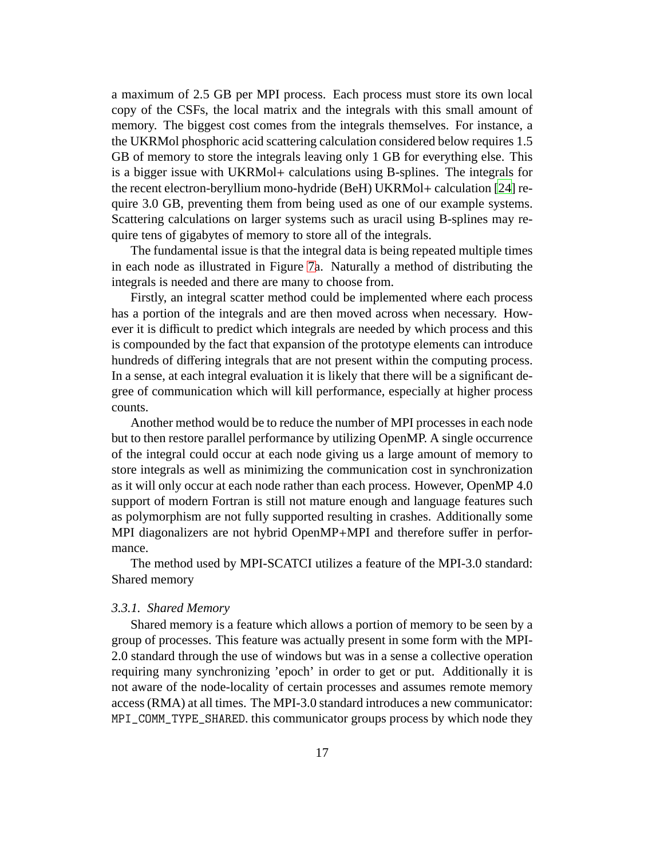a maximum of 2.5 GB per MPI process. Each process must store its own local copy of the CSFs, the local matrix and the integrals with this small amount of memory. The biggest cost comes from the integrals themselves. For instance, a the UKRMol phosphoric acid scattering calculation considered below requires 1.5 GB of memory to store the integrals leaving only 1 GB for everything else. This is a bigger issue with UKRMol+ calculations using B-splines. The integrals for the recent electron-beryllium mono-hydride (BeH) UKRMol+ calculation [\[24\]](#page-25-9) require 3.0 GB, preventing them from being used as one of our example systems. Scattering calculations on larger systems such as uracil using B-splines may require tens of gigabytes of memory to store all of the integrals.

The fundamental issue is that the integral data is being repeated multiple times in each node as illustrated in Figure [7a](#page-17-0). Naturally a method of distributing the integrals is needed and there are many to choose from.

Firstly, an integral scatter method could be implemented where each process has a portion of the integrals and are then moved across when necessary. However it is difficult to predict which integrals are needed by which process and this is compounded by the fact that expansion of the prototype elements can introduce hundreds of differing integrals that are not present within the computing process. In a sense, at each integral evaluation it is likely that there will be a significant degree of communication which will kill performance, especially at higher process counts.

Another method would be to reduce the number of MPI processes in each node but to then restore parallel performance by utilizing OpenMP. A single occurrence of the integral could occur at each node giving us a large amount of memory to store integrals as well as minimizing the communication cost in synchronization as it will only occur at each node rather than each process. However, OpenMP 4.0 support of modern Fortran is still not mature enough and language features such as polymorphism are not fully supported resulting in crashes. Additionally some MPI diagonalizers are not hybrid OpenMP+MPI and therefore suffer in performance.

The method used by MPI-SCATCI utilizes a feature of the MPI-3.0 standard: Shared memory

## *3.3.1. Shared Memory*

Shared memory is a feature which allows a portion of memory to be seen by a group of processes. This feature was actually present in some form with the MPI-2.0 standard through the use of windows but was in a sense a collective operation requiring many synchronizing 'epoch' in order to get or put. Additionally it is not aware of the node-locality of certain processes and assumes remote memory access (RMA) at all times. The MPI-3.0 standard introduces a new communicator: MPI\_COMM\_TYPE\_SHARED. this communicator groups process by which node they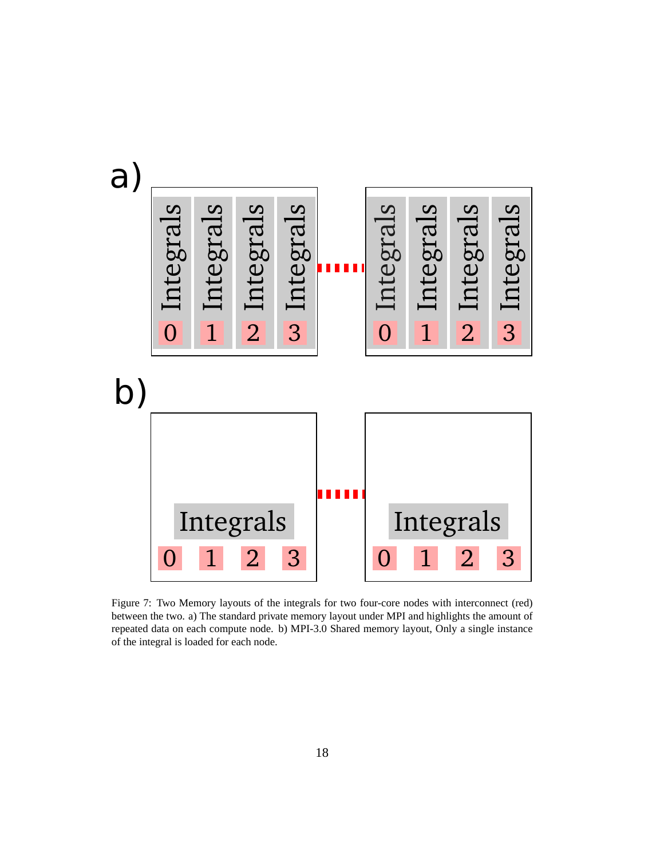

<span id="page-17-0"></span>Figure 7: Two Memory layouts of the integrals for two four-core nodes with interconnect (red) between the two. a) The standard private memory layout under MPI and highlights the amount of repeated data on each compute node. b) MPI-3.0 Shared memory layout, Only a single instance of the integral is loaded for each node.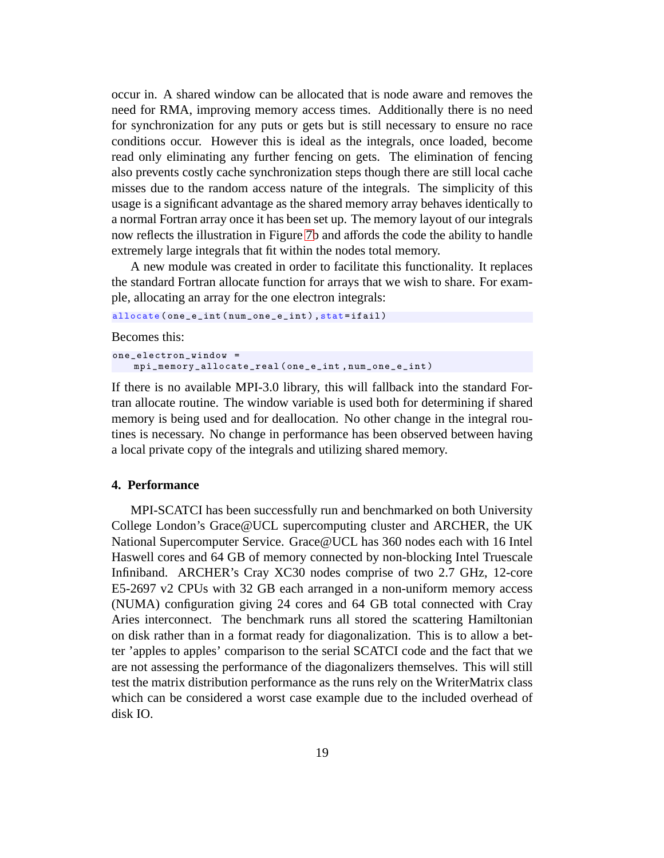occur in. A shared window can be allocated that is node aware and removes the need for RMA, improving memory access times. Additionally there is no need for synchronization for any puts or gets but is still necessary to ensure no race conditions occur. However this is ideal as the integrals, once loaded, become read only eliminating any further fencing on gets. The elimination of fencing also prevents costly cache synchronization steps though there are still local cache misses due to the random access nature of the integrals. The simplicity of this usage is a significant advantage as the shared memory array behaves identically to a normal Fortran array once it has been set up. The memory layout of our integrals now reflects the illustration in Figure [7b](#page-17-0) and affords the code the ability to handle extremely large integrals that fit within the nodes total memory.

A new module was created in order to facilitate this functionality. It replaces the standard Fortran allocate function for arrays that we wish to share. For example, allocating an array for the one electron integrals:

allocate ( one\_e\_int ( num\_one\_e\_int ) , stat = ifail )

Becomes this:

```
one_electron_window =
mpi_memory_allocate_real ( one_e_int , num_one_e_int )
```
If there is no available MPI-3.0 library, this will fallback into the standard Fortran allocate routine. The window variable is used both for determining if shared memory is being used and for deallocation. No other change in the integral routines is necessary. No change in performance has been observed between having a local private copy of the integrals and utilizing shared memory.

## <span id="page-18-0"></span>**4. Performance**

MPI-SCATCI has been successfully run and benchmarked on both University College London's Grace@UCL supercomputing cluster and ARCHER, the UK National Supercomputer Service. Grace@UCL has 360 nodes each with 16 Intel Haswell cores and 64 GB of memory connected by non-blocking Intel Truescale Infiniband. ARCHER's Cray XC30 nodes comprise of two 2.7 GHz, 12-core E5-2697 v2 CPUs with 32 GB each arranged in a non-uniform memory access (NUMA) configuration giving 24 cores and 64 GB total connected with Cray Aries interconnect. The benchmark runs all stored the scattering Hamiltonian on disk rather than in a format ready for diagonalization. This is to allow a better 'apples to apples' comparison to the serial SCATCI code and the fact that we are not assessing the performance of the diagonalizers themselves. This will still test the matrix distribution performance as the runs rely on the WriterMatrix class which can be considered a worst case example due to the included overhead of disk IO.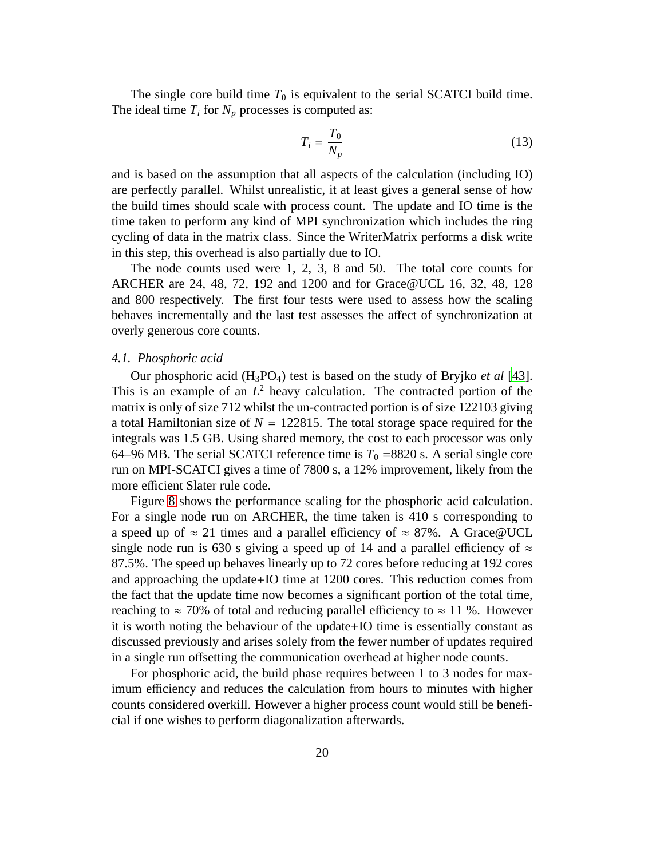The single core build time  $T_0$  is equivalent to the serial SCATCI build time. The ideal time  $T_i$  for  $N_p$  processes is computed as:

<span id="page-19-0"></span>
$$
T_i = \frac{T_0}{N_p} \tag{13}
$$

and is based on the assumption that all aspects of the calculation (including IO) are perfectly parallel. Whilst unrealistic, it at least gives a general sense of how the build times should scale with process count. The update and IO time is the time taken to perform any kind of MPI synchronization which includes the ring cycling of data in the matrix class. Since the WriterMatrix performs a disk write in this step, this overhead is also partially due to IO.

The node counts used were 1, 2, 3, 8 and 50. The total core counts for ARCHER are 24, 48, 72, 192 and 1200 and for Grace@UCL 16, 32, 48, 128 and 800 respectively. The first four tests were used to assess how the scaling behaves incrementally and the last test assesses the affect of synchronization at overly generous core counts.

#### *4.1. Phosphoric acid*

Our phosphoric acid (H3PO4) test is based on the study of Bryjko *et al* [\[43](#page-27-5)]. This is an example of an  $L^2$  heavy calculation. The contracted portion of the matrix is only of size 712 whilst the un-contracted portion is of size 122103 giving a total Hamiltonian size of  $N = 122815$ . The total storage space required for the integrals was 1.5 GB. Using shared memory, the cost to each processor was only 64–96 MB. The serial SCATCI reference time is  $T_0$  =8820 s. A serial single core run on MPI-SCATCI gives a time of 7800 s, a 12% improvement, likely from the more efficient Slater rule code.

Figure [8](#page-20-0) shows the performance scaling for the phosphoric acid calculation. For a single node run on ARCHER, the time taken is 410 s corresponding to a speed up of  $\approx 21$  times and a parallel efficiency of  $\approx 87\%$ . A Grace@UCL single node run is 630 s giving a speed up of 14 and a parallel efficiency of  $\approx$ 87.5%. The speed up behaves linearly up to 72 cores before reducing at 192 cores and approaching the update+IO time at 1200 cores. This reduction comes from the fact that the update time now becomes a significant portion of the total time, reaching to  $\approx$  70% of total and reducing parallel efficiency to  $\approx$  11 %. However it is worth noting the behaviour of the update+IO time is essentially constant as discussed previously and arises solely from the fewer number of updates required in a single run offsetting the communication overhead at higher node counts.

For phosphoric acid, the build phase requires between 1 to 3 nodes for maximum efficiency and reduces the calculation from hours to minutes with higher counts considered overkill. However a higher process count would still be beneficial if one wishes to perform diagonalization afterwards.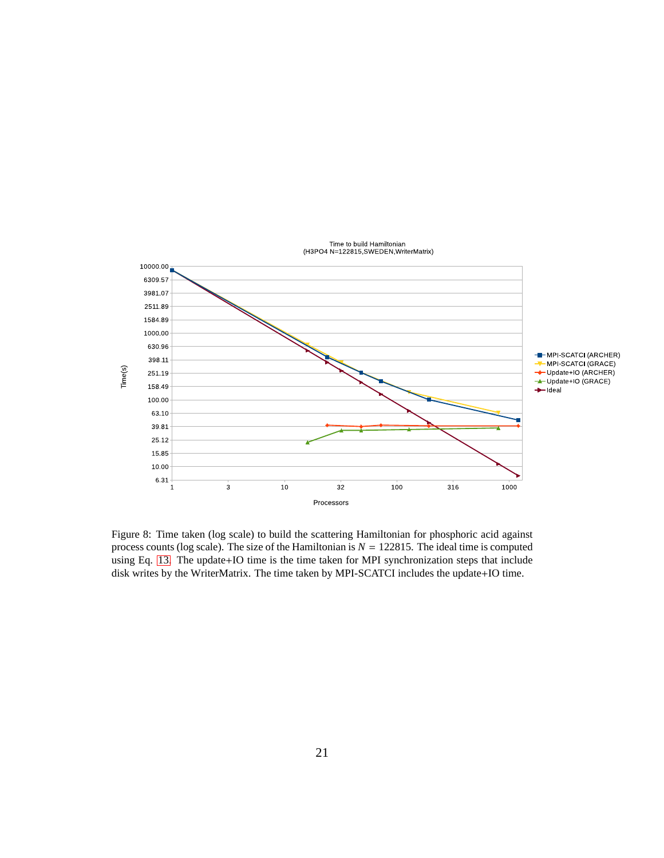

<span id="page-20-0"></span>Figure 8: Time taken (log scale) to build the scattering Hamiltonian for phosphoric acid against process counts (log scale). The size of the Hamiltonian is  $N = 122815$ . The ideal time is computed using Eq. [13.](#page-19-0) The update+IO time is the time taken for MPI synchronization steps that include disk writes by the WriterMatrix. The time taken by MPI-SCATCI includes the update+IO time.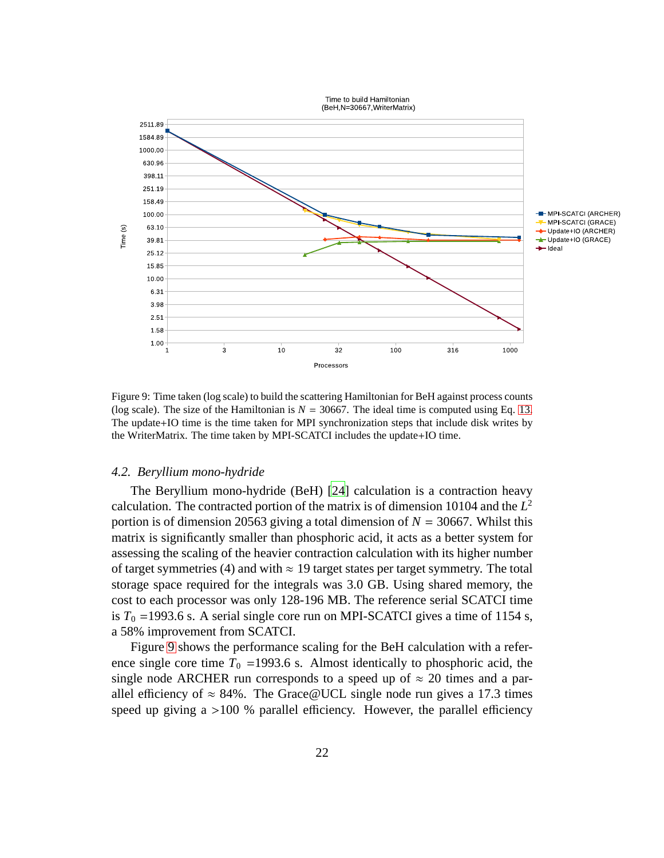

<span id="page-21-0"></span>Figure 9: Time taken (log scale) to build the scattering Hamiltonian for BeH against process counts (log scale). The size of the Hamiltonian is  $N = 30667$ . The ideal time is computed using Eq. [13.](#page-19-0) The update+IO time is the time taken for MPI synchronization steps that include disk writes by the WriterMatrix. The time taken by MPI-SCATCI includes the update+IO time.

#### *4.2. Beryllium mono-hydride*

The Beryllium mono-hydride (BeH) [\[24](#page-25-9)] calculation is a contraction heavy calculation. The contracted portion of the matrix is of dimension 10104 and the *L* 2 portion is of dimension 20563 giving a total dimension of *N* = 30667. Whilst this matrix is significantly smaller than phosphoric acid, it acts as a better system for assessing the scaling of the heavier contraction calculation with its higher number of target symmetries (4) and with  $\approx$  19 target states per target symmetry. The total storage space required for the integrals was 3.0 GB. Using shared memory, the cost to each processor was only 128-196 MB. The reference serial SCATCI time is  $T_0$  =1993.6 s. A serial single core run on MPI-SCATCI gives a time of 1154 s, a 58% improvement from SCATCI.

Figure [9](#page-21-0) shows the performance scaling for the BeH calculation with a reference single core time  $T_0$  =1993.6 s. Almost identically to phosphoric acid, the single node ARCHER run corresponds to a speed up of  $\approx 20$  times and a parallel efficiency of  $\approx 84\%$ . The Grace@UCL single node run gives a 17.3 times speed up giving a >100 % parallel efficiency. However, the parallel efficiency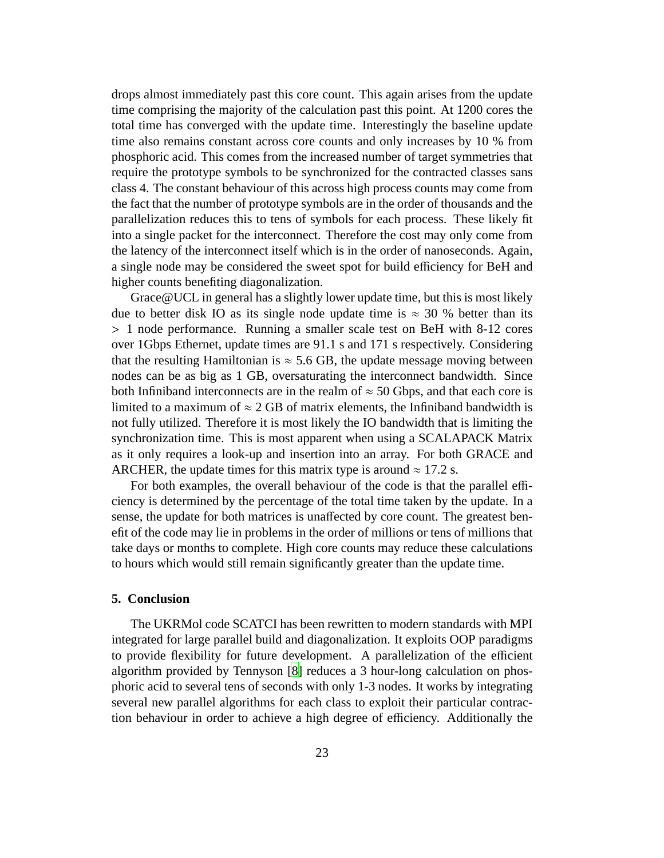drops almost immediately past this core count. This again arises from the update time comprising the majority of the calculation past this point. At 1200 cores the total time has converged with the update time. Interestingly the baseline update time also remains constant across core counts and only increases by 10 % from phosphoric acid. This comes from the increased number of target symmetries that require the prototype symbols to be synchronized for the contracted classes sans class 4. The constant behaviour of this across high process counts may come from the fact that the number of prototype symbols are in the order of thousands and the parallelization reduces this to tens of symbols for each process. These likely fit into a single packet for the interconnect. Therefore the cost may only come from the latency of the interconnect itself which is in the order of nanoseconds. Again, a single node may be considered the sweet spot for build efficiency for BeH and higher counts benefiting diagonalization.

Grace@UCL in general has a slightly lower update time, but this is most likely due to better disk IO as its single node update time is  $\approx 30$  % better than its > 1 node performance. Running a smaller scale test on BeH with 8-12 cores over 1Gbps Ethernet, update times are 91.1 s and 171 s respectively. Considering that the resulting Hamiltonian is  $\approx$  5.6 GB, the update message moving between nodes can be as big as 1 GB, oversaturating the interconnect bandwidth. Since both Infiniband interconnects are in the realm of  $\approx$  50 Gbps, and that each core is limited to a maximum of  $\approx$  2 GB of matrix elements, the Infiniband bandwidth is not fully utilized. Therefore it is most likely the IO bandwidth that is limiting the synchronization time. This is most apparent when using a SCALAPACK Matrix as it only requires a look-up and insertion into an array. For both GRACE and ARCHER, the update times for this matrix type is around  $\approx 17.2$  s.

For both examples, the overall behaviour of the code is that the parallel efficiency is determined by the percentage of the total time taken by the update. In a sense, the update for both matrices is unaffected by core count. The greatest benefit of the code may lie in problems in the order of millions or tens of millions that take days or months to complete. High core counts may reduce these calculations to hours which would still remain significantly greater than the update time.

## **5. Conclusion**

The UKRMol code SCATCI has been rewritten to modern standards with MPI integrated for large parallel build and diagonalization. It exploits OOP paradigms to provide flexibility for future development. A parallelization of the efficient algorithm provided by Tennyson [\[8](#page-24-5)] reduces a 3 hour-long calculation on phosphoric acid to several tens of seconds with only 1-3 nodes. It works by integrating several new parallel algorithms for each class to exploit their particular contraction behaviour in order to achieve a high degree of efficiency. Additionally the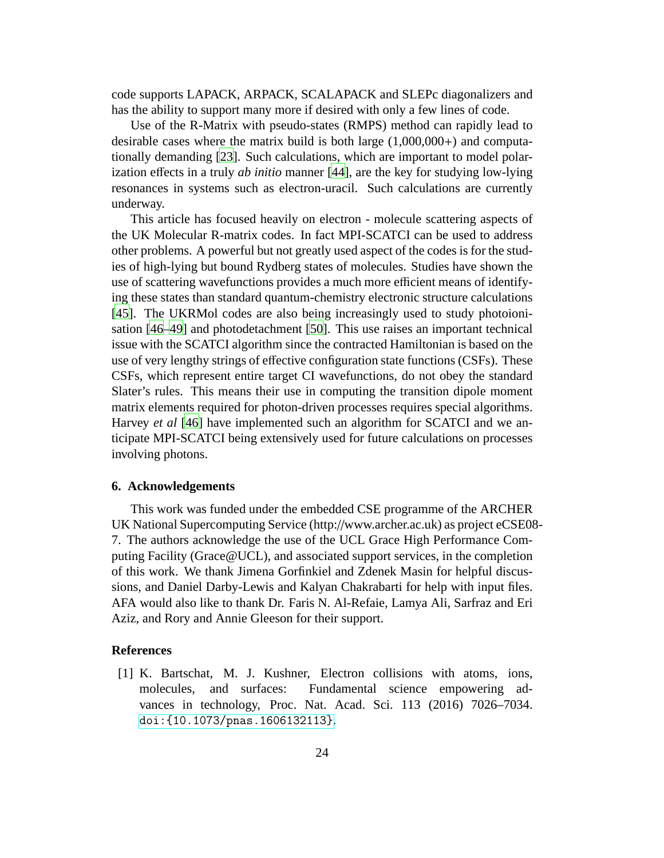code supports LAPACK, ARPACK, SCALAPACK and SLEPc diagonalizers and has the ability to support many more if desired with only a few lines of code.

Use of the R-Matrix with pseudo-states (RMPS) method can rapidly lead to desirable cases where the matrix build is both large (1,000,000+) and computationally demanding [\[23](#page-25-8)]. Such calculations, which are important to model polarization effects in a truly *ab initio* manner [\[44\]](#page-27-6), are the key for studying low-lying resonances in systems such as electron-uracil. Such calculations are currently underway.

This article has focused heavily on electron - molecule scattering aspects of the UK Molecular R-matrix codes. In fact MPI-SCATCI can be used to address other problems. A powerful but not greatly used aspect of the codes is for the studies of high-lying but bound Rydberg states of molecules. Studies have shown the use of scattering wavefunctions provides a much more efficient means of identifying these states than standard quantum-chemistry electronic structure calculations [\[45\]](#page-27-7). The UKRMol codes are also being increasingly used to study photoionisation [\[46](#page-27-8)[–49\]](#page-28-0) and photodetachment [\[50](#page-28-1)]. This use raises an important technical issue with the SCATCI algorithm since the contracted Hamiltonian is based on the use of very lengthy strings of effective configuration state functions (CSFs). These CSFs, which represent entire target CI wavefunctions, do not obey the standard Slater's rules. This means their use in computing the transition dipole moment matrix elements required for photon-driven processes requires special algorithms. Harvey *et al* [\[46](#page-27-8)] have implemented such an algorithm for SCATCI and we anticipate MPI-SCATCI being extensively used for future calculations on processes involving photons.

## **6. Acknowledgements**

This work was funded under the embedded CSE programme of the ARCHER UK National Supercomputing Service (http://www.archer.ac.uk) as project eCSE08- 7. The authors acknowledge the use of the UCL Grace High Performance Computing Facility (Grace@UCL), and associated support services, in the completion of this work. We thank Jimena Gorfinkiel and Zdenek Masin for helpful discussions, and Daniel Darby-Lewis and Kalyan Chakrabarti for help with input files. AFA would also like to thank Dr. Faris N. Al-Refaie, Lamya Ali, Sarfraz and Eri Aziz, and Rory and Annie Gleeson for their support.

## <span id="page-23-0"></span>**References**

[1] K. Bartschat, M. J. Kushner, Electron collisions with atoms, ions, molecules, and surfaces: Fundamental science empowering advances in technology, Proc. Nat. Acad. Sci. 113 (2016) 7026–7034. [doi:{10.1073/pnas.1606132113}](http://dx.doi.org/{10.1073/pnas.1606132113}).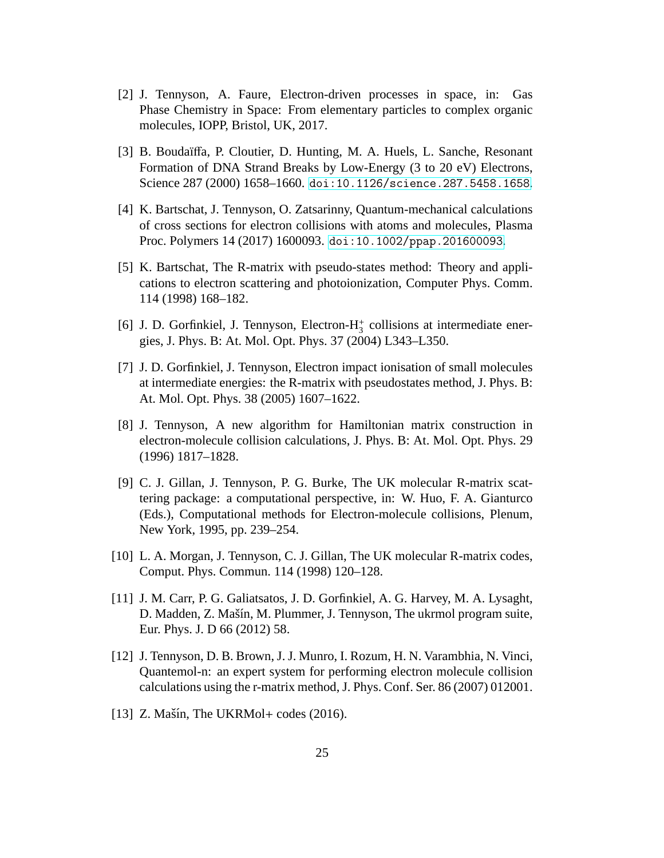- <span id="page-24-0"></span>[2] J. Tennyson, A. Faure, Electron-driven processes in space, in: Gas Phase Chemistry in Space: From elementary particles to complex organic molecules, IOPP, Bristol, UK, 2017.
- <span id="page-24-1"></span>[3] B. Bouda¨ıffa, P. Cloutier, D. Hunting, M. A. Huels, L. Sanche, Resonant Formation of DNA Strand Breaks by Low-Energy (3 to 20 eV) Electrons, Science 287 (2000) 1658–1660. [doi:10.1126/science.287.5458.1658](http://dx.doi.org/10.1126/science.287.5458.1658).
- <span id="page-24-2"></span>[4] K. Bartschat, J. Tennyson, O. Zatsarinny, Quantum-mechanical calculations of cross sections for electron collisions with atoms and molecules, Plasma Proc. Polymers 14 (2017) 1600093. [doi:10.1002/ppap.201600093](http://dx.doi.org/10.1002/ppap.201600093).
- <span id="page-24-3"></span>[5] K. Bartschat, The R-matrix with pseudo-states method: Theory and applications to electron scattering and photoionization, Computer Phys. Comm. 114 (1998) 168–182.
- [6] J. D. Gorfinkiel, J. Tennyson, Electron- $H_3^+$  collisions at intermediate energies, J. Phys. B: At. Mol. Opt. Phys. 37 (2004) L343–L350.
- <span id="page-24-4"></span>[7] J. D. Gorfinkiel, J. Tennyson, Electron impact ionisation of small molecules at intermediate energies: the R-matrix with pseudostates method, J. Phys. B: At. Mol. Opt. Phys. 38 (2005) 1607–1622.
- <span id="page-24-5"></span>[8] J. Tennyson, A new algorithm for Hamiltonian matrix construction in electron-molecule collision calculations, J. Phys. B: At. Mol. Opt. Phys. 29 (1996) 1817–1828.
- <span id="page-24-6"></span>[9] C. J. Gillan, J. Tennyson, P. G. Burke, The UK molecular R-matrix scattering package: a computational perspective, in: W. Huo, F. A. Gianturco (Eds.), Computational methods for Electron-molecule collisions, Plenum, New York, 1995, pp. 239–254.
- <span id="page-24-8"></span>[10] L. A. Morgan, J. Tennyson, C. J. Gillan, The UK molecular R-matrix codes, Comput. Phys. Commun. 114 (1998) 120–128.
- [11] J. M. Carr, P. G. Galiatsatos, J. D. Gorfinkiel, A. G. Harvey, M. A. Lysaght, D. Madden, Z. Mašín, M. Plummer, J. Tennyson, The ukrmol program suite, Eur. Phys. J. D 66 (2012) 58.
- [12] J. Tennyson, D. B. Brown, J. J. Munro, I. Rozum, H. N. Varambhia, N. Vinci, Quantemol-n: an expert system for performing electron molecule collision calculations using the r-matrix method, J. Phys. Conf. Ser. 86 (2007) 012001.
- <span id="page-24-7"></span>[13] Z. Mašín, The UKRMol $+$  codes (2016).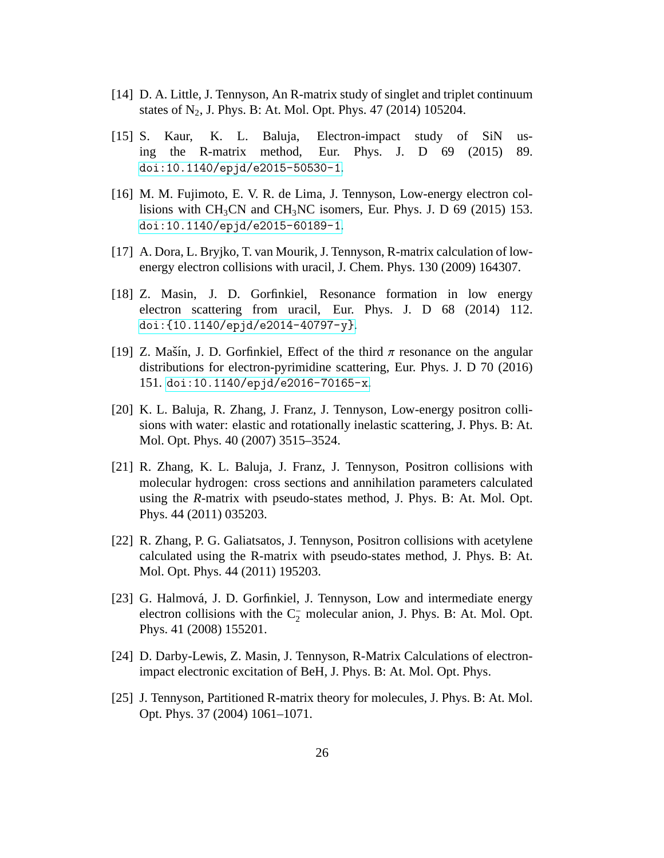- <span id="page-25-0"></span>[14] D. A. Little, J. Tennyson, An R-matrix study of singlet and triplet continuum states of N<sub>2</sub>, J. Phys. B: At. Mol. Opt. Phys. 47 (2014) 105204.
- <span id="page-25-1"></span>[15] S. Kaur, K. L. Baluja, Electron-impact study of SiN using the R-matrix method, Eur. Phys. J. D 69 (2015) 89. [doi:10.1140/epjd/e2015-50530-1](http://dx.doi.org/10.1140/epjd/e2015-50530-1).
- <span id="page-25-2"></span>[16] M. M. Fujimoto, E. V. R. de Lima, J. Tennyson, Low-energy electron collisions with  $CH<sub>3</sub>CN$  and  $CH<sub>3</sub>NC$  isomers, Eur. Phys. J. D 69 (2015) 153. [doi:10.1140/epjd/e2015-60189-1](http://dx.doi.org/10.1140/epjd/e2015-60189-1).
- <span id="page-25-3"></span>[17] A. Dora, L. Bryjko, T. van Mourik, J. Tennyson, R-matrix calculation of lowenergy electron collisions with uracil, J. Chem. Phys. 130 (2009) 164307.
- <span id="page-25-4"></span>[18] Z. Masin, J. D. Gorfinkiel, Resonance formation in low energy electron scattering from uracil, Eur. Phys. J. D 68 (2014) 112. [doi:{10.1140/epjd/e2014-40797-y}](http://dx.doi.org/{10.1140/epjd/e2014-40797-y}).
- <span id="page-25-5"></span>[19] Z. Mašín, J. D. Gorfinkiel, Effect of the third  $\pi$  resonance on the angular distributions for electron-pyrimidine scattering, Eur. Phys. J. D 70 (2016) 151. [doi:10.1140/epjd/e2016-70165-x](http://dx.doi.org/10.1140/epjd/e2016-70165-x).
- <span id="page-25-6"></span>[20] K. L. Baluja, R. Zhang, J. Franz, J. Tennyson, Low-energy positron collisions with water: elastic and rotationally inelastic scattering, J. Phys. B: At. Mol. Opt. Phys. 40 (2007) 3515–3524.
- [21] R. Zhang, K. L. Baluja, J. Franz, J. Tennyson, Positron collisions with molecular hydrogen: cross sections and annihilation parameters calculated using the *R*-matrix with pseudo-states method, J. Phys. B: At. Mol. Opt. Phys. 44 (2011) 035203.
- <span id="page-25-7"></span>[22] R. Zhang, P. G. Galiatsatos, J. Tennyson, Positron collisions with acetylene calculated using the R-matrix with pseudo-states method, J. Phys. B: At. Mol. Opt. Phys. 44 (2011) 195203.
- <span id="page-25-8"></span>[23] G. Halmová, J. D. Gorfinkiel, J. Tennyson, Low and intermediate energy electron collisions with the  $C_2^-$  molecular anion, J. Phys. B: At. Mol. Opt. Phys. 41 (2008) 155201.
- <span id="page-25-9"></span>[24] D. Darby-Lewis, Z. Masin, J. Tennyson, R-Matrix Calculations of electronimpact electronic excitation of BeH, J. Phys. B: At. Mol. Opt. Phys.
- <span id="page-25-10"></span>[25] J. Tennyson, Partitioned R-matrix theory for molecules, J. Phys. B: At. Mol. Opt. Phys. 37 (2004) 1061–1071.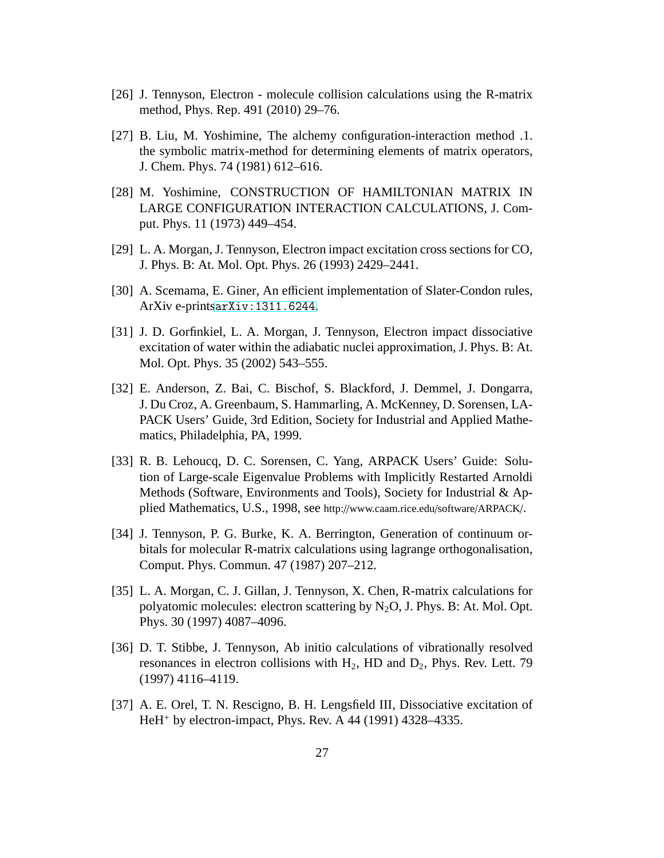- <span id="page-26-0"></span>[26] J. Tennyson, Electron - molecule collision calculations using the R-matrix method, Phys. Rep. 491 (2010) 29–76.
- <span id="page-26-1"></span>[27] B. Liu, M. Yoshimine, The alchemy configuration-interaction method .1. the symbolic matrix-method for determining elements of matrix operators, J. Chem. Phys. 74 (1981) 612–616.
- <span id="page-26-2"></span>[28] M. Yoshimine, CONSTRUCTION OF HAMILTONIAN MATRIX IN LARGE CONFIGURATION INTERACTION CALCULATIONS, J. Comput. Phys. 11 (1973) 449–454.
- <span id="page-26-3"></span>[29] L. A. Morgan, J. Tennyson, Electron impact excitation cross sections for CO, J. Phys. B: At. Mol. Opt. Phys. 26 (1993) 2429–2441.
- <span id="page-26-4"></span>[30] A. Scemama, E. Giner, An efficient implementation of Slater-Condon rules, ArXiv e-prints[arXiv:1311.6244](http://arxiv.org/abs/1311.6244).
- <span id="page-26-5"></span>[31] J. D. Gorfinkiel, L. A. Morgan, J. Tennyson, Electron impact dissociative excitation of water within the adiabatic nuclei approximation, J. Phys. B: At. Mol. Opt. Phys. 35 (2002) 543–555.
- <span id="page-26-6"></span>[32] E. Anderson, Z. Bai, C. Bischof, S. Blackford, J. Demmel, J. Dongarra, J. Du Croz, A. Greenbaum, S. Hammarling, A. McKenney, D. Sorensen, LA-PACK Users' Guide, 3rd Edition, Society for Industrial and Applied Mathematics, Philadelphia, PA, 1999.
- <span id="page-26-7"></span>[33] R. B. Lehoucq, D. C. Sorensen, C. Yang, ARPACK Users' Guide: Solution of Large-scale Eigenvalue Problems with Implicitly Restarted Arnoldi Methods (Software, Environments and Tools), Society for Industrial & Applied Mathematics, U.S., 1998, see http://www.caam.rice.edu/software/ARPACK/.
- <span id="page-26-8"></span>[34] J. Tennyson, P. G. Burke, K. A. Berrington, Generation of continuum orbitals for molecular R-matrix calculations using lagrange orthogonalisation, Comput. Phys. Commun. 47 (1987) 207–212.
- <span id="page-26-9"></span>[35] L. A. Morgan, C. J. Gillan, J. Tennyson, X. Chen, R-matrix calculations for polyatomic molecules: electron scattering by  $N_2O$ , J. Phys. B: At. Mol. Opt. Phys. 30 (1997) 4087–4096.
- <span id="page-26-10"></span>[36] D. T. Stibbe, J. Tennyson, Ab initio calculations of vibrationally resolved resonances in electron collisions with  $H_2$ , HD and  $D_2$ , Phys. Rev. Lett. 79 (1997) 4116–4119.
- <span id="page-26-11"></span>[37] A. E. Orel, T. N. Rescigno, B. H. Lengsfield III, Dissociative excitation of HeH<sup>+</sup> by electron-impact, Phys. Rev. A 44 (1991) 4328–4335.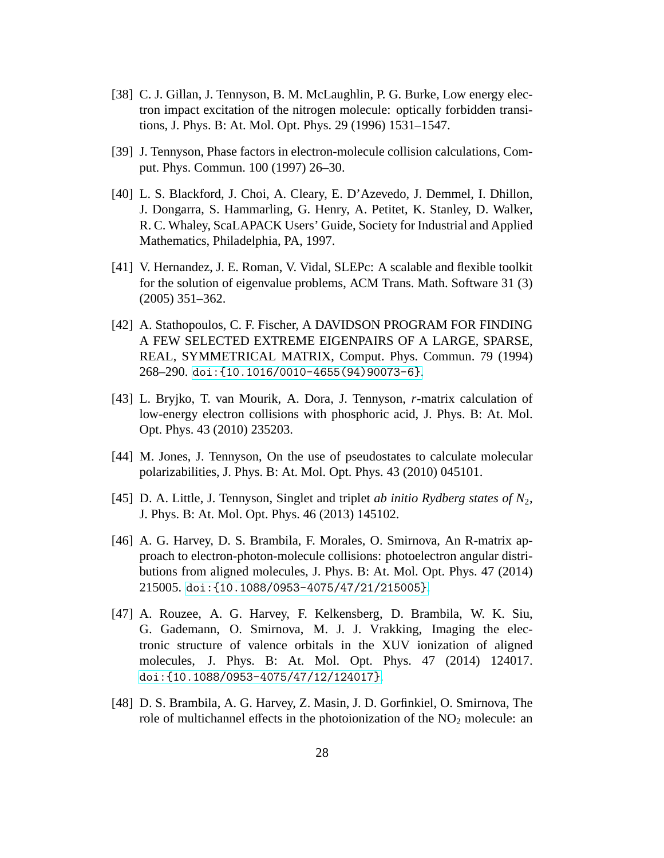- <span id="page-27-0"></span>[38] C. J. Gillan, J. Tennyson, B. M. McLaughlin, P. G. Burke, Low energy electron impact excitation of the nitrogen molecule: optically forbidden transitions, J. Phys. B: At. Mol. Opt. Phys. 29 (1996) 1531–1547.
- <span id="page-27-1"></span>[39] J. Tennyson, Phase factors in electron-molecule collision calculations, Comput. Phys. Commun. 100 (1997) 26–30.
- <span id="page-27-2"></span>[40] L. S. Blackford, J. Choi, A. Cleary, E. D'Azevedo, J. Demmel, I. Dhillon, J. Dongarra, S. Hammarling, G. Henry, A. Petitet, K. Stanley, D. Walker, R. C. Whaley, ScaLAPACK Users' Guide, Society for Industrial and Applied Mathematics, Philadelphia, PA, 1997.
- <span id="page-27-3"></span>[41] V. Hernandez, J. E. Roman, V. Vidal, SLEPc: A scalable and flexible toolkit for the solution of eigenvalue problems, ACM Trans. Math. Software 31 (3) (2005) 351–362.
- <span id="page-27-4"></span>[42] A. Stathopoulos, C. F. Fischer, A DAVIDSON PROGRAM FOR FINDING A FEW SELECTED EXTREME EIGENPAIRS OF A LARGE, SPARSE, REAL, SYMMETRICAL MATRIX, Comput. Phys. Commun. 79 (1994) 268–290. [doi:{10.1016/0010-4655\(94\)90073-6}](http://dx.doi.org/{10.1016/0010-4655(94)90073-6}).
- <span id="page-27-5"></span>[43] L. Bryjko, T. van Mourik, A. Dora, J. Tennyson, *r*-matrix calculation of low-energy electron collisions with phosphoric acid, J. Phys. B: At. Mol. Opt. Phys. 43 (2010) 235203.
- <span id="page-27-6"></span>[44] M. Jones, J. Tennyson, On the use of pseudostates to calculate molecular polarizabilities, J. Phys. B: At. Mol. Opt. Phys. 43 (2010) 045101.
- <span id="page-27-7"></span>[45] D. A. Little, J. Tennyson, Singlet and triplet *ab initio Rydberg states of N*2, J. Phys. B: At. Mol. Opt. Phys. 46 (2013) 145102.
- <span id="page-27-8"></span>[46] A. G. Harvey, D. S. Brambila, F. Morales, O. Smirnova, An R-matrix approach to electron-photon-molecule collisions: photoelectron angular distributions from aligned molecules, J. Phys. B: At. Mol. Opt. Phys. 47 (2014) 215005. [doi:{10.1088/0953-4075/47/21/215005}](http://dx.doi.org/{10.1088/0953-4075/47/21/215005}).
- [47] A. Rouzee, A. G. Harvey, F. Kelkensberg, D. Brambila, W. K. Siu, G. Gademann, O. Smirnova, M. J. J. Vrakking, Imaging the electronic structure of valence orbitals in the XUV ionization of aligned molecules, J. Phys. B: At. Mol. Opt. Phys. 47 (2014) 124017. [doi:{10.1088/0953-4075/47/12/124017}](http://dx.doi.org/{10.1088/0953-4075/47/12/124017}).
- [48] D. S. Brambila, A. G. Harvey, Z. Masin, J. D. Gorfinkiel, O. Smirnova, The role of multichannel effects in the photoionization of the  $NO<sub>2</sub>$  molecule: an